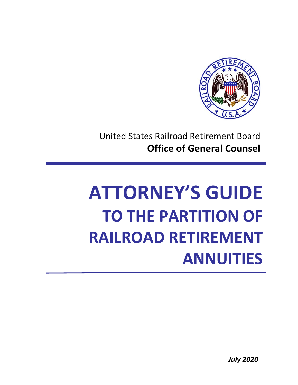

 United States Railroad Retirement Board  **Office of General Counsel**

# **TO THE PARTITION OF ATTORNEY'S GUIDE RAILROAD RETIREMENT ANNUITIES**

*July 2020*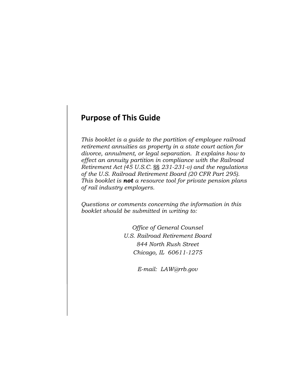## **Purpose of This Guide**

 *divorce, annulment, or legal separation. It explains how to effect an annuity partition in compliance with the Railroad This booklet is a guide to the partition of employee railroad retirement annuities as property in a state court action for Retirement Act (45 U.S.C.* §§ *231-231-v) and the regulations of the U.S. Railroad Retirement Board (20 CFR Part 295). This booklet is not a resource tool for private pension plans of rail industry employers.* 

*Questions or comments concerning the information in this booklet should be submitted in writing to:* 

> *Office of General Counsel U.S. Railroad Retirement Board 844 North Rush Street Chicago, IL 60611-1275*

> > *E-mail: LAW@rrb.gov*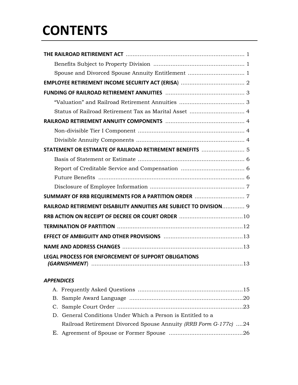## **CONTENTS**

| STATEMENT OR ESTIMATE OF RAILROAD RETIREMENT BENEFITS  5           |
|--------------------------------------------------------------------|
|                                                                    |
|                                                                    |
|                                                                    |
|                                                                    |
|                                                                    |
| RAILROAD RETIREMENT DISABILITY ANNUITIES ARE SUBJECT TO DIVISION 9 |
|                                                                    |
|                                                                    |
|                                                                    |
|                                                                    |
| <b>LEGAL PROCESS FOR ENFORCEMENT OF SUPPORT OBLIGATIONS</b>        |
|                                                                    |
|                                                                    |

#### *APPENDICES*

| D. General Conditions Under Which a Person is Entitled to a      |  |
|------------------------------------------------------------------|--|
| Railroad Retirement Divorced Spouse Annuity (RRB Form G-177c) 24 |  |
|                                                                  |  |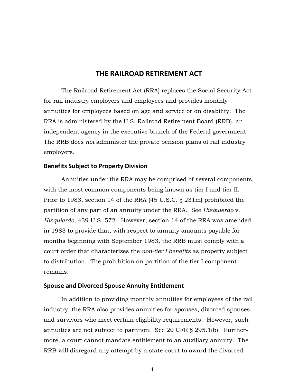## **THE RAILROAD RETIREMENT ACT**

The Railroad Retirement Act (RRA) replaces the Social Security Act for rail industry employers and employees and provides monthly annuities for employees based on age and service or on disability. The RRA is administered by the U.S. Railroad Retirement Board (RRB), an independent agency in the executive branch of the Federal government. The RRB does *not* administer the private pension plans of rail industry employers.

#### **Benefits Subject to Property Division**

Annuities under the RRA may be comprised of several components, with the most common components being known as tier I and tier II. Prior to 1983, section 14 of the RRA (45 U.S.C. § 231m) prohibited the partition of any part of an annuity under the RRA. See *Hisquierdo* v. *Hisquierdo,* 439 U.S. 572. However, section 14 of the RRA was amended in 1983 to provide that, with respect to annuity amounts payable for months beginning with September 1983, the RRB must comply with a court order that characterizes the *non-tier I benefits* as property subject to distribution. The prohibition on partition of the tier I component remains.

#### **Spouse and Divorced Spouse Annuity Entitlement**

In addition to providing monthly annuities for employees of the rail industry, the RRA also provides annuities for spouses, divorced spouses and survivors who meet certain eligibility requirements. However, such annuities are not subject to partition. See 20 CFR § 295.1(b). Furthermore, a court cannot mandate entitlement to an auxiliary annuity. The RRB will disregard any attempt by a state court to award the divorced

1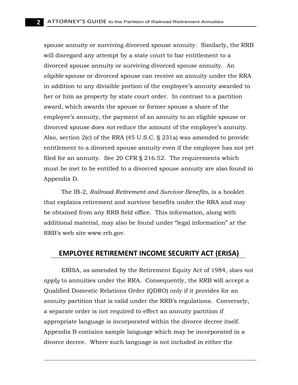Appendix D. spouse annuity or surviving divorced spouse annuity. Similarly, the RRB will disregard any attempt by a state court to bar entitlement to a divorced spouse annuity or surviving divorced spouse annuity. An *eligible* spouse or divorced spouse can receive an annuity under the RRA in addition to any divisible portion of the employee's annuity awarded to her or him as property by state court order. In contrast to a partition award, which awards the spouse or former spouse a share of the employee's annuity, the payment of an annuity to an eligible spouse or divorced spouse does *not* reduce the amount of the employee's annuity. Also, section 2(c) of the RRA (45 U.S.C. § 231a) was amended to provide entitlement to a divorced spouse annuity even if the employee has not yet filed for an annuity. See 20 CFR § 216.52. The requirements which must be met to be entitled to a divorced spouse annuity are also found in

The IB-2, *Railroad Retirement and Survivor Benefits*, is a booklet that explains retirement and survivor benefits under the RRA and may be obtained from any RRB field office. This information, along with additional material, may also be found under "legal information" at the RRB's web site [www.rrb.gov](http://www.rrb.gov/).

## **EMPLOYEE RETIREMENT INCOME SECURITY ACT (ERISA)**

ERISA, as amended by the Retirement Equity Act of 1984, *does not apply* to annuities under the RRA. Consequently, the RRB will accept a Qualified Domestic Relations Order (QDRO) only if it provides for an annuity partition that is valid under the RRB's regulations. Conversely, a separate order is not required to effect an annuity partition if appropriate language is incorporated within the divorce decree itself. Appendix B contains sample language which may be incorporated in a divorce decree. Where such language is not included in either the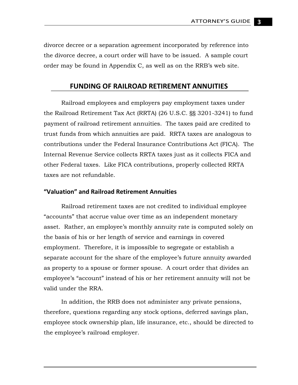divorce decree or a separation agreement incorporated by reference into the divorce decree, a court order will have to be issued. A sample court order may be found in Appendix C, as well as on the RRB's web site.

## **FUNDING OF RAILROAD RETIREMENT ANNUITIES**

Railroad employees and employers pay employment taxes under the Railroad Retirement Tax Act (RRTA) (26 U.S.C. §§ 3201-3241) to fund payment of railroad retirement annuities. The taxes paid are credited to trust funds from which annuities are paid. RRTA taxes are analogous to contributions under the Federal Insurance Contributions Act (FICA). The Internal Revenue Service collects RRTA taxes just as it collects FICA and other Federal taxes. Like FICA contributions, properly collected RRTA taxes are not refundable.

#### **"Valuation" and Railroad Retirement Annuities**

Railroad retirement taxes are not credited to individual employee "accounts" that accrue value over time as an independent monetary asset. Rather, an employee's monthly annuity rate is computed solely on the basis of his or her length of service and earnings in covered employment. Therefore, it is impossible to segregate or establish a separate account for the share of the employee's future annuity awarded as property to a spouse or former spouse. A court order that divides an employee's "account" instead of his or her retirement annuity will not be valid under the RRA.

 the employee's railroad employer. In addition, the RRB does not administer any private pensions, therefore, questions regarding any stock options, deferred savings plan, employee stock ownership plan, life insurance, etc., should be directed to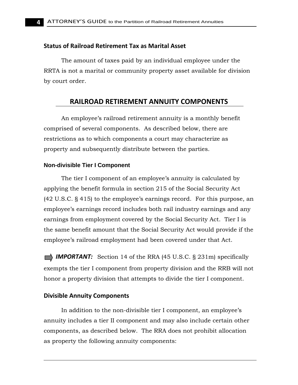#### **Status of Railroad Retirement Tax as Marital Asset**

The amount of taxes paid by an individual employee under the RRTA is not a marital or community property asset available for division by court order.

## **RAILROAD RETIREMENT ANNUITY COMPONENTS**

 property and subsequently distribute between the parties. An employee's railroad retirement annuity is a monthly benefit comprised of several components. As described below, there are restrictions as to which components a court may characterize as

#### **Non-divisible Tier I Component**

The tier I component of an employee's annuity is calculated by applying the benefit formula in section 215 of the Social Security Act (42 U.S.C. § 415) to the employee's earnings record. For this purpose, an employee's earnings record includes both rail industry earnings and any earnings from employment covered by the Social Security Act. Tier I is the same benefit amount that the Social Security Act would provide if the employee's railroad employment had been covered under that Act.

**IMPORTANT:** Section 14 of the RRA (45 U.S.C. § 231m) specifically exempts the tier I component from property division and the RRB will not honor a property division that attempts to divide the tier I component.

#### **Divisible Annuity Components**

In addition to the non-divisible tier I component, an employee's annuity includes a tier II component and may also include certain other components, as described below. The RRA does not prohibit allocation as property the following annuity components: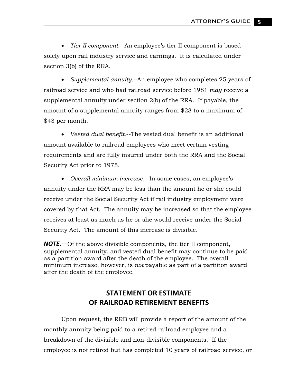• *Tier II component.*--An employee's tier II component is based solely upon rail industry service and earnings. It is calculated under section 3(b) of the RRA.

• *Supplemental annuity.--*An employee who completes 25 years of railroad service and who had railroad service before 1981 *may* receive a supplemental annuity under section 2(b) of the RRA. If payable, the amount of a supplemental annuity ranges from \$23 to a maximum of \$43 per month.

• *Vested dual benefit*.--The vested dual benefit is an additional amount available to railroad employees who meet certain vesting requirements and are fully insured under both the RRA and the Social Security Act prior to 1975.

• *Overall minimum increase*.--In some cases, an employee's annuity under the RRA may be less than the amount he or she could receive under the Social Security Act if rail industry employment were covered by that Act. The annuity may be increased so that the employee receives at least as much as he or she would receive under the Social Security Act. The amount of this increase is divisible.

*NOTE*.—Of the above divisible components, the tier II component, supplemental annuity, and vested dual benefit may continue to be paid as a partition award after the death of the employee. The overall minimum increase, however, is *not* payable as part of a partition award after the death of the employee.

## **STATEMENT OR ESTIMATE OF RAILROAD RETIREMENT BENEFITS**

Upon request, the RRB will provide a report of the amount of the monthly annuity being paid to a retired railroad employee and a breakdown of the divisible and non-divisible components. If the employee is not retired but has completed 10 years of railroad service, or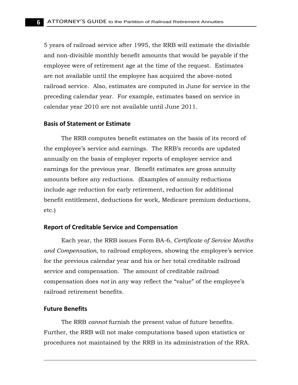5 years of railroad service after 1995, the RRB will estimate the divisible and non-divisible monthly benefit amounts that would be payable if the employee were of retirement age at the time of the request. Estimates are not available until the employee has acquired the above-noted railroad service. Also, estimates are computed in June for service in the preceding calendar year. For example, estimates based on service in calendar year 2010 are not available until June 2011.

#### **Basis of Statement or Estimate**

The RRB computes benefit estimates on the basis of its record of the employee's service and earnings. The RRB's records are updated annually on the basis of employer reports of employee service and earnings for the previous year. Benefit estimates are gross annuity amounts before any reductions. (Examples of annuity reductions include age reduction for early retirement, reduction for additional benefit entitlement, deductions for work, Medicare premium deductions, etc.)

#### **Report of Creditable Service and Compensation**

Each year, the RRB issues Form BA-6, *Certificate of Service Months and Compensation*, to railroad employees, showing the employee's service for the previous calendar year and his or her total creditable railroad service and compensation. The amount of creditable railroad compensation does *not* in any way reflect the "value" of the employee's railroad retirement benefits.

#### **Future Benefits**

The RRB *cannot* furnish the present value of future benefits. Further, the RRB will not make computations based upon statistics or procedures not maintained by the RRB in its administration of the RRA.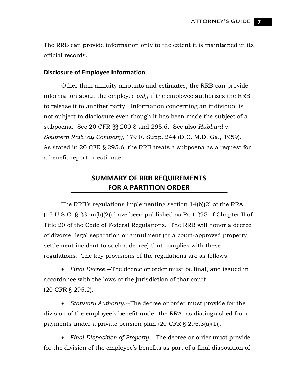The RRB can provide information only to the extent it is maintained in its official records.

#### **Disclosure of Employee Information**

Other than annuity amounts and estimates, the RRB can provide information about the employee *only* if the employee authorizes the RRB to release it to another party. Information concerning an individual is not subject to disclosure even though it has been made the subject of a subpoena. See 20 CFR §§ 200.8 and 295.6. See also *Hubbard* v. *Southern Railway Company,* 179 F. Supp. 244 (D.C. M.D. Ga., 1959). As stated in 20 CFR § 295.6, the RRB treats a subpoena as a request for a benefit report or estimate.

## **SUMMARY OF RRB REQUIREMENTS FOR A PARTITION ORDER**

 regulations. The key provisions of the regulations are as follows: The RRB's regulations implementing section 14(b)(2) of the RRA (45 U.S.C. § 231m(b)(2)) have been published as Part 295 of Chapter II of Title 20 of the Code of Federal Regulations. The RRB will honor a decree of divorce, legal separation or annulment (or a court-approved property settlement incident to such a decree) that complies with these

 (20 CFR § 295.2). • *Final Decree*.--The decree or order must be final, and issued in accordance with the laws of the jurisdiction of that court

 payments under a private pension plan (20 CFR § 295.3(a)(1)). • *Statutory Authority*.--The decree or order must provide for the division of the employee's benefit under the RRA, as distinguished from

• *Final Disposition of Property*.--The decree or order must provide for the division of the employee's benefits as part of a final disposition of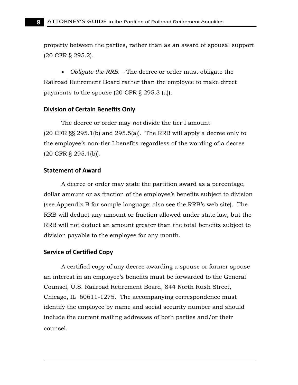(20 CFR § 295.2). property between the parties, rather than as an award of spousal support

• *Obligate the RRB.* – The decree or order must obligate the Railroad Retirement Board rather than the employee to make direct payments to the spouse (20 CFR § 295.3 (a)).

#### **Division of Certain Benefits Only**

The decree or order may *not* divide the tier I amount (20 CFR §§ 295.1(b) and 295.5(a)). The RRB will apply a decree only to the employee's non-tier I benefits regardless of the wording of a decree (20 CFR § 295.4(b)).

#### **Statement of Award**

A decree or order may state the partition award as a percentage, dollar amount or as fraction of the employee's benefits subject to division (see Appendix B for sample language; also see the RRB's web site). The RRB will deduct any amount or fraction allowed under state law, but the RRB will not deduct an amount greater than the total benefits subject to division payable to the employee for any month.

#### **Service of Certified Copy**

A certified copy of any decree awarding a spouse or former spouse an interest in an employee's benefits must be forwarded to the General Counsel, U.S. Railroad Retirement Board, 844 North Rush Street, Chicago, IL 60611-1275. The accompanying correspondence must identify the employee by name and social security number and should include the current mailing addresses of both parties and/or their counsel.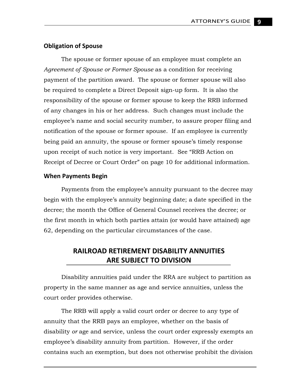#### **Obligation of Spouse**

The spouse or former spouse of an employee must complete an *Agreement of Spouse or Former Spouse* as a condition for receiving payment of the partition award. The spouse or former spouse will also be required to complete a Direct Deposit sign-up form. It is also the responsibility of the spouse or former spouse to keep the RRB informed of any changes in his or her address. Such changes must include the employee's name and social security number, to assure proper filing and notification of the spouse or former spouse. If an employee is currently being paid an annuity, the spouse or former spouse's timely response upon receipt of such notice is very important. See "RRB Action on Receipt of Decree or Court Order" on page 10 for additional information.

#### **When Payments Begin**

 62, depending on the particular circumstances of the case. Payments from the employee's annuity pursuant to the decree may begin with the employee's annuity beginning date; a date specified in the decree; the month the Office of General Counsel receives the decree; or the first month in which both parties attain (or would have attained) age

## **RAILROAD RETIREMENT DISABILITY ANNUITIES ARE SUBJECT TO DIVISION**

Disability annuities paid under the RRA are subject to partition as property in the same manner as age and service annuities, unless the court order provides otherwise.

The RRB will apply a valid court order or decree to any type of annuity that the RRB pays an employee, whether on the basis of disability *or* age and service, unless the court order expressly exempts an employee's disability annuity from partition. However, if the order contains such an exemption, but does not otherwise prohibit the division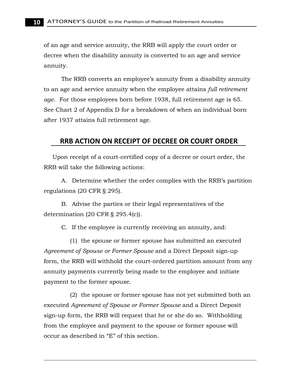annuity. of an age and service annuity, the RRB will apply the court order or decree when the disability annuity is converted to an age and service

The RRB converts an employee's annuity from a disability annuity to an age and service annuity when the employee attains *full retirement age*. For those employees born before 1938, full retirement age is 65. See Chart 2 of Appendix D for a breakdown of when an individual born after 1937 attains full retirement age.

## **RRB ACTION ON RECEIPT OF DECREE OR COURT ORDER**

Upon receipt of a court-certified copy of a decree or court order, the RRB will take the following actions:

A. Determine whether the order complies with the RRB's partition regulations (20 CFR § 295).

B. Advise the parties or their legal representatives of the determination (20 CFR § 295.4(c)).

C. If the employee is currently receiving an annuity, and:

(1) the spouse or former spouse has submitted an executed *Agreement of Spouse or Former Spouse* and a Direct Deposit sign-up form, the RRB will withhold the court-ordered partition amount from any annuity payments currently being made to the employee and initiate payment to the former spouse.

(2) the spouse or former spouse has not yet submitted both an executed *Agreement of Spouse or Former Spouse* and a Direct Deposit sign-up form, the RRB will request that he or she do so. Withholding from the employee and payment to the spouse or former spouse will occur as described in "E" of this section.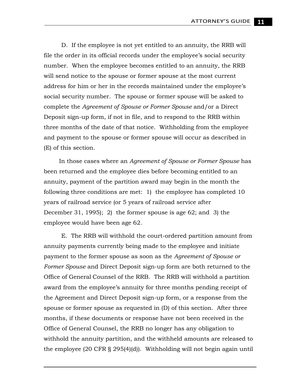D. If the employee is not yet entitled to an annuity, the RRB will file the order in its official records under the employee's social security number. When the employee becomes entitled to an annuity, the RRB will send notice to the spouse or former spouse at the most current address for him or her in the records maintained under the employee's social security number. The spouse or former spouse will be asked to complete the *Agreement of Spouse or Former Spouse* and/or a Direct Deposit sign-up form, if not in file, and to respond to the RRB within three months of the date of that notice. Withholding from the employee and payment to the spouse or former spouse will occur as described in (E) of this section.

In those cases where an *Agreement of Spouse or Former Spouse* has been returned and the employee dies before becoming entitled to an annuity, payment of the partition award may begin in the month the following three conditions are met: 1) the employee has completed 10 years of railroad service (or 5 years of railroad service after December 31, 1995); 2) the former spouse is age 62; and 3) the employee would have been age 62.

E. The RRB will withhold the court-ordered partition amount from annuity payments currently being made to the employee and initiate payment to the former spouse as soon as the *Agreement of Spouse or Former Spouse* and Direct Deposit sign-up form are both returned to the Office of General Counsel of the RRB. The RRB will withhold a partition award from the employee's annuity for three months pending receipt of the Agreement and Direct Deposit sign-up form, or a response from the spouse or former spouse as requested in (D) of this section. After three months, if these documents or response have not been received in the Office of General Counsel, the RRB no longer has any obligation to withhold the annuity partition, and the withheld amounts are released to the employee (20 CFR § 295(4)(d)). Withholding will not begin again until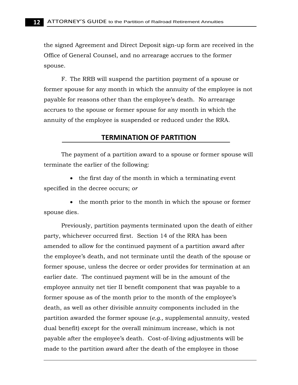the signed Agreement and Direct Deposit sign-up form are received in the Office of General Counsel, and no arrearage accrues to the former spouse.

F. The RRB will suspend the partition payment of a spouse or former spouse for any month in which the annuity of the employee is not payable for reasons other than the employee's death. No arrearage accrues to the spouse or former spouse for any month in which the annuity of the employee is suspended or reduced under the RRA.

## **TERMINATION OF PARTITION**

The payment of a partition award to a spouse or former spouse will terminate the earlier of the following:

• the first day of the month in which a terminating event specified in the decree occurs; *or* 

• the month prior to the month in which the spouse or former spouse dies.

Previously, partition payments terminated upon the death of either party, whichever occurred first. Section 14 of the RRA has been amended to allow for the continued payment of a partition award after the employee's death, and not terminate until the death of the spouse or former spouse, unless the decree or order provides for termination at an earlier date. The continued payment will be in the amount of the employee annuity net tier II benefit component that was payable to a former spouse as of the month prior to the month of the employee's death, as well as other divisible annuity components included in the partition awarded the former spouse (*e.g.,* supplemental annuity, vested dual benefit) except for the overall minimum increase, which is not payable after the employee's death. Cost-of-living adjustments will be made to the partition award after the death of the employee in those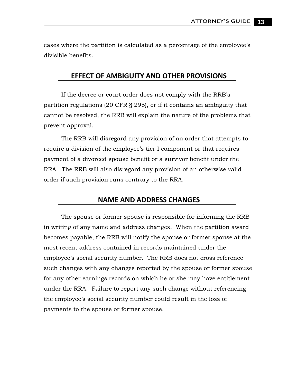cases where the partition is calculated as a percentage of the employee's divisible benefits.

## **EFFECT OF AMBIGUITY AND OTHER PROVISIONS**

If the decree or court order does not comply with the RRB's partition regulations (20 CFR § 295), or if it contains an ambiguity that cannot be resolved, the RRB will explain the nature of the problems that prevent approval.

The RRB will disregard any provision of an order that attempts to require a division of the employee's tier I component or that requires payment of a divorced spouse benefit or a survivor benefit under the RRA. The RRB will also disregard any provision of an otherwise valid order if such provision runs contrary to the RRA.

## **NAME AND ADDRESS CHANGES**

The spouse or former spouse is responsible for informing the RRB in writing of any name and address changes. When the partition award becomes payable, the RRB will notify the spouse or former spouse at the most recent address contained in records maintained under the employee's social security number. The RRB does not cross reference such changes with any changes reported by the spouse or former spouse for any other earnings records on which he or she may have entitlement under the RRA. Failure to report any such change without referencing the employee's social security number could result in the loss of payments to the spouse or former spouse.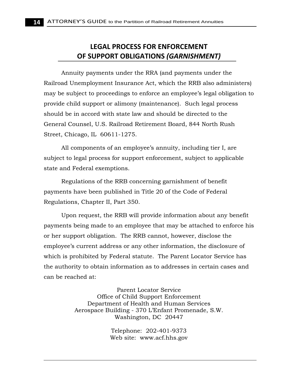## **LEGAL PROCESS FOR ENFORCEMENT OF SUPPORT OBLIGATIONS** *(GARNISHMENT)*

Annuity payments under the RRA (and payments under the Railroad Unemployment Insurance Act, which the RRB also administers) may be subject to proceedings to enforce an employee's legal obligation to provide child support or alimony (maintenance). Such legal process should be in accord with state law and should be directed to the General Counsel, U.S. Railroad Retirement Board, 844 North Rush Street, Chicago, IL 60611-1275.

All components of an employee's annuity, including tier I, are subject to legal process for support enforcement, subject to applicable state and Federal exemptions.

Regulations of the RRB concerning garnishment of benefit payments have been published in Title 20 of the Code of Federal Regulations, Chapter II, Part 350.

Upon request, the RRB will provide information about any benefit payments being made to an employee that may be attached to enforce his or her support obligation. The RRB cannot, however, disclose the employee's current address or any other information, the disclosure of which is prohibited by Federal statute. The Parent Locator Service has the authority to obtain information as to addresses in certain cases and can be reached at:

> Parent Locator Service Office of Child Support Enforcement Department of Health and Human Services Aerospace Building - 370 L'Enfant Promenade, S.W. Washington, DC 20447

> > Telephone: 202-401-9373 Web site: [www.acf.hhs.gov](http://www.acf.hhs.gov/)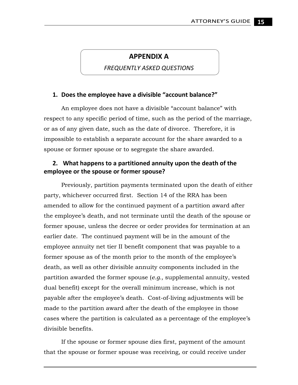## **APPENDIX A**

 *FREQUENTLY ASKED QUESTIONS*

#### **1. Does the employee have a divisible "account balance?"**

An employee does not have a divisible "account balance" with respect to any specific period of time, such as the period of the marriage, or as of any given date, such as the date of divorce. Therefore, it is impossible to establish a separate account for the share awarded to a spouse or former spouse or to segregate the share awarded.

#### **2. What happens to a partitioned annuity upon the death of the employee or the spouse or former spouse?**

Previously, partition payments terminated upon the death of either party, whichever occurred first. Section 14 of the RRA has been amended to allow for the continued payment of a partition award after the employee's death, and not terminate until the death of the spouse or former spouse, unless the decree or order provides for termination at an earlier date. The continued payment will be in the amount of the employee annuity net tier II benefit component that was payable to a former spouse as of the month prior to the month of the employee's death, as well as other divisible annuity components included in the partition awarded the former spouse (*e.g.,* supplemental annuity, vested dual benefit) except for the overall minimum increase, which is not payable after the employee's death. Cost-of-living adjustments will be made to the partition award after the death of the employee in those cases where the partition is calculated as a percentage of the employee's divisible benefits.

If the spouse or former spouse dies first, payment of the amount that the spouse or former spouse was receiving, or could receive under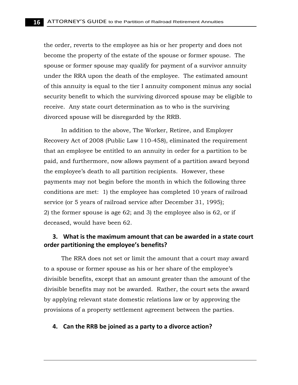the order, reverts to the employee as his or her property and does not become the property of the estate of the spouse or former spouse. The spouse or former spouse may qualify for payment of a survivor annuity under the RRA upon the death of the employee. The estimated amount of this annuity is equal to the tier I annuity component minus any social security benefit to which the surviving divorced spouse may be eligible to receive. Any state court determination as to who is the surviving divorced spouse will be disregarded by the RRB.

In addition to the above, The Worker, Retiree, and Employer Recovery Act of 2008 (Public Law 110-458), eliminated the requirement that an employee be entitled to an annuity in order for a partition to be paid, and furthermore, now allows payment of a partition award beyond the employee's death to all partition recipients. However, these payments may not begin before the month in which the following three conditions are met: 1) the employee has completed 10 years of railroad service (or 5 years of railroad service after December 31, 1995); 2) the former spouse is age 62; and 3) the employee also is 62, or if deceased, would have been 62.

#### **3. What is the maximum amount that can be awarded in a state court order partitioning the employee's benefits?**

The RRA does not set or limit the amount that a court may award to a spouse or former spouse as his or her share of the employee's divisible benefits, except that an amount greater than the amount of the divisible benefits may not be awarded. Rather, the court sets the award by applying relevant state domestic relations law or by approving the provisions of a property settlement agreement between the parties.

#### **4. Can the RRB be joined as a party to a divorce action?**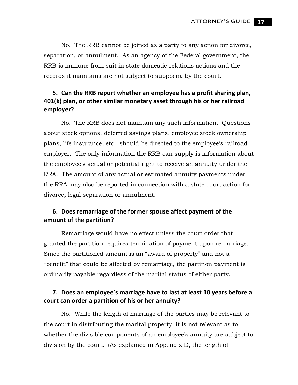No. The RRB cannot be joined as a party to any action for divorce, separation, or annulment. As an agency of the Federal government, the RRB is immune from suit in state domestic relations actions and the records it maintains are not subject to subpoena by the court.

## **5. Can the RRB report whether an employee has a profit sharing plan, 401(k) plan, or other similar monetary asset through his or her railroad employer?**

No. The RRB does not maintain any such information. Questions about stock options, deferred savings plans, employee stock ownership plans, life insurance, etc., should be directed to the employee's railroad employer. The only information the RRB can supply is information about the employee's actual or potential right to receive an annuity under the RRA. The amount of any actual or estimated annuity payments under the RRA may also be reported in connection with a state court action for divorce, legal separation or annulment.

## **6. Does remarriage of the former spouse affect payment of the amount of the partition?**

Remarriage would have no effect unless the court order that granted the partition requires termination of payment upon remarriage. Since the partitioned amount is an "award of property" and not a "benefit" that could be affected by remarriage, the partition payment is ordinarily payable regardless of the marital status of either party.

## **7. Does an employee's marriage have to last at least 10 years before a court can order a partition of his or her annuity?**

No. While the length of marriage of the parties may be relevant to the court in distributing the marital property, it is not relevant as to whether the divisible components of an employee's annuity are subject to division by the court. (As explained in Appendix D, the length of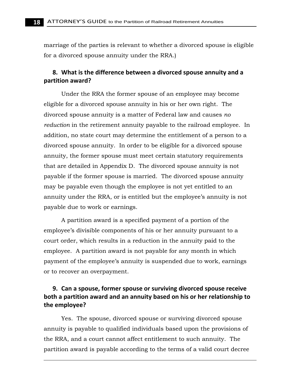marriage of the parties is relevant to whether a divorced spouse is eligible for a divorced spouse annuity under the RRA.)

#### **8. What is the difference between a divorced spouse annuity and a partition award?**

Under the RRA the former spouse of an employee may become eligible for a divorced spouse annuity in his or her own right. The divorced spouse annuity is a matter of Federal law and causes *no reduction* in the retirement annuity payable to the railroad employee. In addition, no state court may determine the entitlement of a person to a divorced spouse annuity. In order to be eligible for a divorced spouse annuity, the former spouse must meet certain statutory requirements that are detailed in Appendix D. The divorced spouse annuity is not payable if the former spouse is married. The divorced spouse annuity may be payable even though the employee is not yet entitled to an annuity under the RRA, or is entitled but the employee's annuity is not payable due to work or earnings.

A partition award is a specified payment of a portion of the employee's divisible components of his or her annuity pursuant to a court order, which results in a reduction in the annuity paid to the employee. A partition award is not payable for any month in which payment of the employee's annuity is suspended due to work, earnings or to recover an overpayment.

## **9. Can a spouse, former spouse or surviving divorced spouse receive both a partition award and an annuity based on his or her relationship to the employee?**

Yes. The spouse, divorced spouse or surviving divorced spouse annuity is payable to qualified individuals based upon the provisions of the RRA, and a court cannot affect entitlement to such annuity. The partition award is payable according to the terms of a valid court decree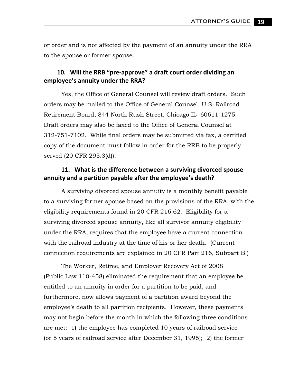or order and is not affected by the payment of an annuity under the RRA to the spouse or former spouse.

#### **10. Will the RRB "pre‐approve" a draft court order dividing an employee's annuity under the RRA?**

Yes, the Office of General Counsel will review draft orders. Such orders may be mailed to the Office of General Counsel, U.S. Railroad Retirement Board, 844 North Rush Street, Chicago IL 60611-1275. Draft orders may also be faxed to the Office of General Counsel at 312-751-7102. While final orders may be submitted via fax, a certified copy of the document must follow in order for the RRB to be properly served (20 CFR 295.3(d)).

#### **11. What is the difference between a surviving divorced spouse annuity and a partition payable after the employee's death?**

A surviving divorced spouse annuity is a monthly benefit payable to a surviving former spouse based on the provisions of the RRA, with the eligibility requirements found in 20 CFR 216.62. Eligibility for a surviving divorced spouse annuity, like all survivor annuity eligibility under the RRA, requires that the employee have a current connection with the railroad industry at the time of his or her death. (Current connection requirements are explained in 20 CFR Part 216, Subpart B.)

The Worker, Retiree, and Employer Recovery Act of 2008 (Public Law 110-458) eliminated the requirement that an employee be entitled to an annuity in order for a partition to be paid, and furthermore, now allows payment of a partition award beyond the employee's death to all partition recipients. However, these payments may not begin before the month in which the following three conditions are met: 1) the employee has completed 10 years of railroad service (or 5 years of railroad service after December 31, 1995); 2) the former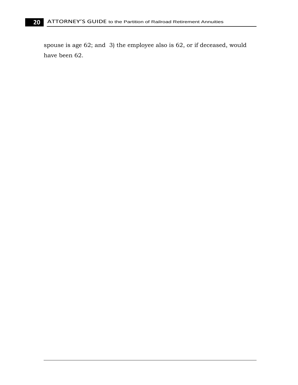spouse is age 62; and 3) the employee also is 62, or if deceased, would have been 62.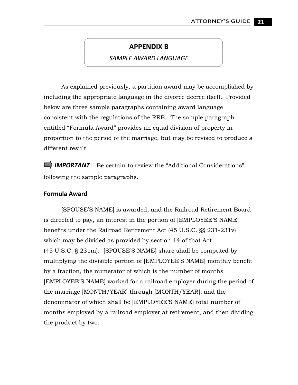## **APPENDIX B**

#### *SAMPLE AWARD LANGUAGE*

As explained previously, a partition award may be accomplished by including the appropriate language in the divorce decree itself. Provided below are three sample paragraphs containing award language consistent with the regulations of the RRB. The sample paragraph entitled "Formula Award" provides an equal division of property in proportion to the period of the marriage, but may be revised to produce a different result.

**IMPORTANT**: Be certain to review the "Additional Considerations" following the sample paragraphs.

#### **Formula Award**

[SPOUSE'S NAME] is awarded, and the Railroad Retirement Board is directed to pay, an interest in the portion of [EMPLOYEE'S NAME] benefits under the Railroad Retirement Act (45 U.S.C. §§ 231-231v) which may be divided as provided by section 14 of that Act (45 U.S.C. § 231m). [SPOUSE'S NAME] share shall be computed by multiplying the divisible portion of [EMPLOYEE'S NAME] monthly benefit by a fraction, the numerator of which is the number of months [EMPLOYEE'S NAME] worked for a railroad employer during the period of the marriage [MONTH/YEAR] through [MONTH/YEAR], and the denominator of which shall be [EMPLOYEE'S NAME] total number of months employed by a railroad employer at retirement, and then dividing the product by two.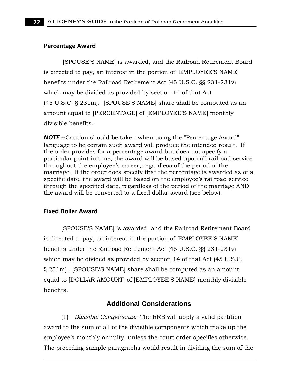#### **Percentage Award**

[SPOUSE'S NAME] is awarded, and the Railroad Retirement Board is directed to pay, an interest in the portion of [EMPLOYEE'S NAME] benefits under the Railroad Retirement Act (45 U.S.C. §§ 231-231v) which may be divided as provided by section 14 of that Act (45 U.S.C. § 231m). [SPOUSE'S NAME] share shall be computed as an amount equal to [PERCENTAGE] of [EMPLOYEE'S NAME] monthly divisible benefits.

*NOTE*.‐‐Caution should be taken when using the "Percentage Award" language to be certain such award will produce the intended result. If the order provides for a percentage award but does not specify a particular point in time, the award will be based upon all railroad service throughout the employee's career, regardless of the period of the marriage. If the order does specify that the percentage is awarded as of a specific date, the award will be based on the employee's railroad service through the specified date, regardless of the period of the marriage AND the award will be converted to a fixed dollar award (see below).

#### **Fixed Dollar Award**

[SPOUSE'S NAME] is awarded, and the Railroad Retirement Board is directed to pay, an interest in the portion of [EMPLOYEE'S NAME] benefits under the Railroad Retirement Act (45 U.S.C. §§ 231-231v) which may be divided as provided by section 14 of that Act (45 U.S.C. § 231m). [SPOUSE'S NAME] share shall be computed as an amount equal to [DOLLAR AMOUNT] of [EMPLOYEE'S NAME] monthly divisible benefits.

#### **Additional Considerations**

(1) *Divisible Components.--*The RRB will apply a valid partition award to the sum of all of the divisible components which make up the employee's monthly annuity, unless the court order specifies otherwise. The preceding sample paragraphs would result in dividing the sum of the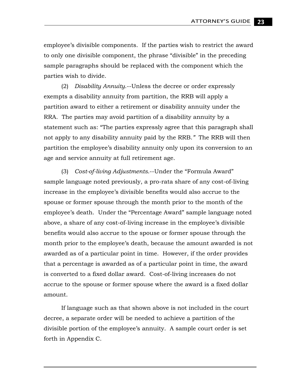employee's divisible components. If the parties wish to restrict the award to only one divisible component, the phrase "divisible" in the preceding sample paragraphs should be replaced with the component which the parties wish to divide.

(2) *Disability Annuity*.--Unless the decree or order expressly exempts a disability annuity from partition, the RRB will apply a partition award to either a retirement or disability annuity under the RRA. The parties may avoid partition of a disability annuity by a statement such as: "The parties expressly agree that this paragraph shall not apply to any disability annuity paid by the RRB.*"* The RRB will then partition the employee's disability annuity only upon its conversion to an age and service annuity at full retirement age.

(3) *Cost-of-living Adjustments*.--Under the "Formula Award" sample language noted previously, a pro-rata share of any cost-of-living increase in the employee's divisible benefits would also accrue to the spouse or former spouse through the month prior to the month of the employee's death. Under the "Percentage Award" sample language noted above, a share of any cost-of-living increase in the employee's divisible benefits would also accrue to the spouse or former spouse through the month prior to the employee's death, because the amount awarded is not awarded as of a particular point in time. However, if the order provides that a percentage is awarded as of a particular point in time, the award is converted to a fixed dollar award. Cost-of-living increases do not accrue to the spouse or former spouse where the award is a fixed dollar amount.

If language such as that shown above is not included in the court decree, a separate order will be needed to achieve a partition of the divisible portion of the employee's annuity. A sample court order is set forth in Appendix C.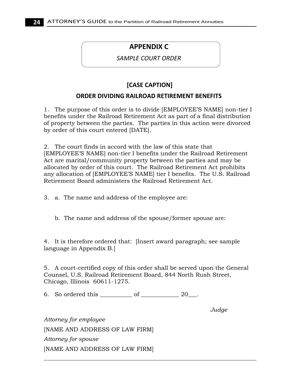## **APPENDIX C**

#### *SAMPLE COURT ORDER*

## **[CASE CAPTION]**

#### **ORDER DIVIDING RAILROAD RETIREMENT BENEFITS**

1. The purpose of this order is to divide [EMPLOYEE'S NAME] non-tier I benefits under the Railroad Retirement Act as part of a final distribution of property between the parties. The parties in this action were divorced by order of this court entered [DATE].

2. The court finds in accord with the law of this state that [EMPLOYEE'S NAME] non-tier I benefits under the Railroad Retirement Act are marital/community property between the parties and may be allocated by order of this court. The Railroad Retirement Act prohibits any allocation of [EMPLOYEE'S NAME] tier I benefits. The U.S. Railroad Retirement Board administers the Railroad Retirement Act.

3. a. The name and address of the employee are:

b. The name and address of the spouse/former spouse are:

4. It is therefore ordered that: [Insert award paragraph; see sample language in Appendix B.]

5. A court-certified copy of this order shall be served upon the General Counsel, U.S. Railroad Retirement Board, 844 North Rush Street, Chicago, Illinois 60611-1275.

6. So ordered this  $\qquad \qquad$  of  $\qquad \qquad$  20.

*Judge* 

*Attorney for employee*  [NAME AND ADDRESS OF LAW FIRM] *Attorney for spouse*  [NAME AND ADDRESS OF LAW FIRM]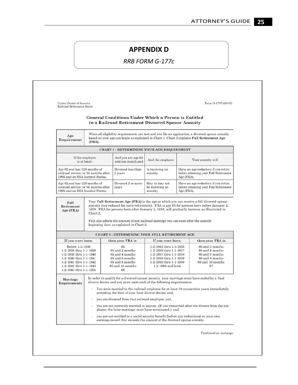## **APPENDIX D**

 *RRB FORM G‐177c*

| United States of America<br>Railroad Retirement Board                                                                                                                                            |                                                                                                                                                                                                         |                                                                                                                                 | Form G-177C (08-07)                                                                                                                                                       |            |                                                                                                                                                                                                                                    |
|--------------------------------------------------------------------------------------------------------------------------------------------------------------------------------------------------|---------------------------------------------------------------------------------------------------------------------------------------------------------------------------------------------------------|---------------------------------------------------------------------------------------------------------------------------------|---------------------------------------------------------------------------------------------------------------------------------------------------------------------------|------------|------------------------------------------------------------------------------------------------------------------------------------------------------------------------------------------------------------------------------------|
|                                                                                                                                                                                                  |                                                                                                                                                                                                         | <b>General Conditions Under Which a Person is Entitled</b><br>to a Railroad Retirement Divorced Spouse Annuity                  |                                                                                                                                                                           |            |                                                                                                                                                                                                                                    |
| Age<br>Requirement                                                                                                                                                                               | When all eligibility requirements are met and you file an application, a divorced spouse annuity<br>based on your age can begin as explained in Chart 1. Chart 2 explains Full Retirement Age<br>(FRA). |                                                                                                                                 |                                                                                                                                                                           |            |                                                                                                                                                                                                                                    |
|                                                                                                                                                                                                  |                                                                                                                                                                                                         | <b>CHART 1 - DETERMINING YOUR AGE REQUIREMENT</b>                                                                               |                                                                                                                                                                           |            |                                                                                                                                                                                                                                    |
|                                                                                                                                                                                                  | If the employee<br>is at least:                                                                                                                                                                         | And you are age 62<br>and one month and                                                                                         | And the employee                                                                                                                                                          |            | Your annuity will                                                                                                                                                                                                                  |
| Age 62 and has 120 months of<br>1995 and an SSA Insured Status.                                                                                                                                  | railroad service: or 60 months after                                                                                                                                                                    | Divorced less than<br>2 years                                                                                                   | Is receiving an<br>annuity                                                                                                                                                | Age (FRA). | Have an age reduction if you retire<br>before attaining your Full Retirement                                                                                                                                                       |
| Age 62 and has 120 months of                                                                                                                                                                     | railroad service: or 60 months after                                                                                                                                                                    | Divorced 2 or more<br>years                                                                                                     | May or may not<br>be receiving an                                                                                                                                         |            | Have an age reduction if you retire                                                                                                                                                                                                |
| Full<br>Retirement                                                                                                                                                                               |                                                                                                                                                                                                         |                                                                                                                                 | annuity                                                                                                                                                                   | Age (FRA). | before attaining your Full Retirement<br>Your Full Retirement Age (FRA) is the age at which you can receive a full divorced spouse<br>annuity (not reduced for early retirement). FRA is age 65 for persons born before January 2. |
| 1995 and an SSA Insured Status.<br>Age (FRA)                                                                                                                                                     | Chart 2.                                                                                                                                                                                                | FRA also affects the amount of non-railroad earnings you can earn after the annuity<br>beginning date, as explained in Chart 3. |                                                                                                                                                                           |            | 1938. FRA for persons born after January 1, 1938, will gradually increase as illustrated in                                                                                                                                        |
|                                                                                                                                                                                                  |                                                                                                                                                                                                         | <b>CHART 2 - DETERMINING YOUR FULL RETIREMENT AGE</b>                                                                           |                                                                                                                                                                           |            |                                                                                                                                                                                                                                    |
| If you were born:<br>Before 1-2-1938<br>1-2-1938 thru 1-1-1939<br>1-2-1939 thru 1-1-1940<br>1-2-1940 thru 1-1-1941<br>1-2-1941 thru 1-1-1942<br>1-2-1942 thru 1-1-1943<br>1-2-1943 thru 1-1-1955 |                                                                                                                                                                                                         | then your FRA is:<br>65<br>65 and 2 months<br>65 and 4 months<br>65 and 6 months<br>65 and 8 months<br>65 and 10 months<br>66   | If you were born:<br>1-2-1955 thru 1-1-1956<br>1-2-1956 thru 1-1-1957<br>1-2-1957 thru 1-1-1958<br>1-2-1958 thru 1-1-1959<br>1-2-1959 thru 1-1-1960<br>1-2-1960 and later |            | then your FRA is:<br>66 and 2 months<br>66 and 4 months<br>66 and 6 months<br>66 and 8 months<br>66 and 10 months<br>67                                                                                                            |
| Marriage<br>Requirements                                                                                                                                                                         |                                                                                                                                                                                                         | divorce decree and you must meet each of the following requirements:<br>preceding the date of your final divorce decree; and,   |                                                                                                                                                                           |            | In order to qualify for a divorced spouse annuity, your marriage must have ended by a final<br><sup>1</sup> You were married to the railroad employee for at least 10 consecutive years immediately                                |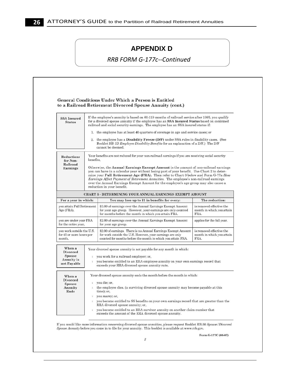## **APPENDIX D**

 *RRB FORM G‐177c‐‐Continued*

|                                                                                                                                                        |                                                                                                                                                                                                                                                                                                                                                                                                                                                                                                                                                                             | <b>General Conditions Under Which a Person is Entitled</b><br>to a Railroad Retirement Divorced Spouse Annuity (cont.)                                                                                                                                                            |                                                               |  |  |  |
|--------------------------------------------------------------------------------------------------------------------------------------------------------|-----------------------------------------------------------------------------------------------------------------------------------------------------------------------------------------------------------------------------------------------------------------------------------------------------------------------------------------------------------------------------------------------------------------------------------------------------------------------------------------------------------------------------------------------------------------------------|-----------------------------------------------------------------------------------------------------------------------------------------------------------------------------------------------------------------------------------------------------------------------------------|---------------------------------------------------------------|--|--|--|
| <b>SSA Insured</b><br><b>Status</b>                                                                                                                    |                                                                                                                                                                                                                                                                                                                                                                                                                                                                                                                                                                             | If the employee's annuity is based on 60-119 months of railroad service after 1995, you qualify<br>for a divorced spouse annuity if the employee has an SSA Insured Status based on combined<br>railroad and social security earnings. The employee has an SSA insured status if: |                                                               |  |  |  |
|                                                                                                                                                        |                                                                                                                                                                                                                                                                                                                                                                                                                                                                                                                                                                             | 1. the employee has at least 40 quarters of coverage in age and service cases; or                                                                                                                                                                                                 |                                                               |  |  |  |
|                                                                                                                                                        | 2. the employee has a Disability Freeze (D/F) under SSA rules in disability cases. (See<br>Booklet RB-1D Employee Disability Benefits for an explanation of a D/F.) The D/F<br>cannot be deemed.                                                                                                                                                                                                                                                                                                                                                                            |                                                                                                                                                                                                                                                                                   |                                                               |  |  |  |
| Reductions<br>for Non-<br>Railroad<br><b>Earnings</b>                                                                                                  | Your benefits are not reduced for your non-railroad earnings if you are receiving social security<br>benefits.<br>Otherwise, the Annual Earnings Exempt Amount is the amount of non-railroad earnings<br>you can have in a calendar year without losing part of your benefit. Use Chart 2 to deter-<br>mine your Full Retirement Age (FRA). Then refer to Chart 3 below and Form G-77a How<br>Earnings Affect Payment of Retirement Annuities. The employee's non-railroad earnings<br>over the Annual Earnings Exempt Amount for the employee's age group may also cause a |                                                                                                                                                                                                                                                                                   |                                                               |  |  |  |
|                                                                                                                                                        |                                                                                                                                                                                                                                                                                                                                                                                                                                                                                                                                                                             | reduction in your benefit.                                                                                                                                                                                                                                                        |                                                               |  |  |  |
|                                                                                                                                                        |                                                                                                                                                                                                                                                                                                                                                                                                                                                                                                                                                                             | CHART 3 - DETERMINING YOUR ANNUAL EARNINGS EXEMPT AMOUNT                                                                                                                                                                                                                          |                                                               |  |  |  |
| For a year in which:                                                                                                                                   |                                                                                                                                                                                                                                                                                                                                                                                                                                                                                                                                                                             | You may lose up to \$1 in benefits for every:                                                                                                                                                                                                                                     | The reduction:                                                |  |  |  |
| you attain Full Retirement<br>Age (FRA).                                                                                                               |                                                                                                                                                                                                                                                                                                                                                                                                                                                                                                                                                                             | \$3.00 of earnings over the Annual Earnings Exempt Amount<br>for your age group. However, your earnings are only counted<br>for months before the month in which you attain FRA.                                                                                                  | is removed effective the<br>month in which you attain<br>FRA. |  |  |  |
| you are under your FRA<br>for the entire year,                                                                                                         |                                                                                                                                                                                                                                                                                                                                                                                                                                                                                                                                                                             | \$2.00 of earnings over the Annual Earnings Exempt Amount<br>for your age group.                                                                                                                                                                                                  | applies for the full year.                                    |  |  |  |
| you work outside the U.S.<br>for 45 or more hours per<br>month.                                                                                        |                                                                                                                                                                                                                                                                                                                                                                                                                                                                                                                                                                             | \$2.00 of earnings. There is no Annual Earnings Exempt Amount<br>for work outside the U.S. However, your earnings are only<br>counted for months before the month in which you attain FRA.                                                                                        | is removed effective the<br>month in which you attain<br>FRA. |  |  |  |
| When a<br><b>Divorced</b><br>Spouse                                                                                                                    | Your divorced spouse annuity is not payable for any month in which:                                                                                                                                                                                                                                                                                                                                                                                                                                                                                                         |                                                                                                                                                                                                                                                                                   |                                                               |  |  |  |
| you work for a railroad employer; or,<br>$1\,$<br><b>Annuity</b> is<br>you become entitled to an RRA employee annuity on your own earnings record that |                                                                                                                                                                                                                                                                                                                                                                                                                                                                                                                                                                             |                                                                                                                                                                                                                                                                                   |                                                               |  |  |  |
| not Payable                                                                                                                                            | exceeds your RRA divorced spouse annuity rate.                                                                                                                                                                                                                                                                                                                                                                                                                                                                                                                              |                                                                                                                                                                                                                                                                                   |                                                               |  |  |  |
| When a                                                                                                                                                 | Your divorced spouse annuity ends the month before the month in which:                                                                                                                                                                                                                                                                                                                                                                                                                                                                                                      |                                                                                                                                                                                                                                                                                   |                                                               |  |  |  |
| <b>Divorced</b><br>Spouse                                                                                                                              |                                                                                                                                                                                                                                                                                                                                                                                                                                                                                                                                                                             | <sup>1</sup> you die; or,                                                                                                                                                                                                                                                         |                                                               |  |  |  |
| Annuity<br>Ends                                                                                                                                        | the employee dies. (a surviving divorced spouse annuity may become payable at this<br>1<br>time); or,                                                                                                                                                                                                                                                                                                                                                                                                                                                                       |                                                                                                                                                                                                                                                                                   |                                                               |  |  |  |
|                                                                                                                                                        | $\mathbf{1}$                                                                                                                                                                                                                                                                                                                                                                                                                                                                                                                                                                | you marry; or,                                                                                                                                                                                                                                                                    |                                                               |  |  |  |
|                                                                                                                                                        | $\mathbf{1}$                                                                                                                                                                                                                                                                                                                                                                                                                                                                                                                                                                | you become entitled to SS benefits on your own earnings record that are greater than the                                                                                                                                                                                          |                                                               |  |  |  |
|                                                                                                                                                        |                                                                                                                                                                                                                                                                                                                                                                                                                                                                                                                                                                             | RRA divorced spouse annuity; or,                                                                                                                                                                                                                                                  |                                                               |  |  |  |

If you would like more information concerning divorced spouse annuities, please request Booklet RB-30  $Spouse/Divored$ <br>Spouse Annuity before you come in to file for your annuity. This booklet is available at www.rrb.gov.

Form G-177C (08-07)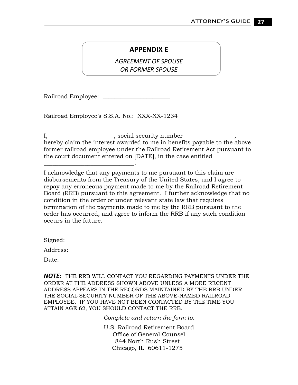## **APPENDIX E**

 *AGREEMENT OF SPOUSE OR FORMER SPOUSE*

Railroad Employee: \_\_\_\_\_\_\_\_\_\_\_\_\_\_\_\_\_\_\_\_\_\_\_

Railroad Employee's S.S.A. No.: XXX-XX-1234

\_\_\_\_\_\_\_\_\_\_\_\_\_\_\_\_\_\_\_\_\_\_\_\_\_\_\_\_\_\_\_.

I, \_\_\_\_\_\_\_\_\_\_\_\_\_\_\_\_\_\_\_\_\_, social security number \_\_\_\_\_\_\_\_\_\_\_\_\_\_, hereby claim the interest awarded to me in benefits payable to the above former railroad employee under the Railroad Retirement Act pursuant to the court document entered on [DATE], in the case entitled

I acknowledge that any payments to me pursuant to this claim are disbursements from the Treasury of the United States, and I agree to repay any erroneous payment made to me by the Railroad Retirement Board (RRB) pursuant to this agreement. I further acknowledge that no condition in the order or under relevant state law that requires termination of the payments made to me by the RRB pursuant to the order has occurred, and agree to inform the RRB if any such condition occurs in the future.

Signed:

Address:

Date:

*NOTE:* THE RRB WILL CONTACT YOU REGARDING PAYMENTS UNDER THE ORDER AT THE ADDRESS SHOWN ABOVE UNLESS A MORE RECENT ADDRESS APPEARS IN THE RECORDS MAINTAINED BY THE RRB UNDER THE SOCIAL SECURITY NUMBER OF THE ABOVE-NAMED RAILROAD EMPLOYEE. IF YOU HAVE NOT BEEN CONTACTED BY THE TIME YOU ATTAIN AGE 62, YOU SHOULD CONTACT THE RRB.

*Complete and return the form to:* 

U.S. Railroad Retirement Board Office of General Counsel 844 North Rush Street Chicago, IL 60611-1275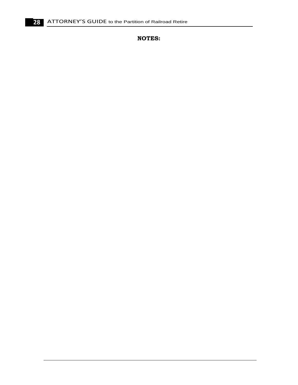**NOTES:**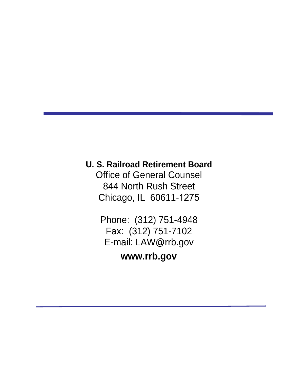## **U. S. Railroad Retirement Board**

Office of General Counsel 844 North Rush Street Chicago, IL 60611-1275

Phone: (312) 751-4948 Fax: (312) 751-7102 E-mail: [LAW@rrb.gov](mailto:LAW@rrb.gov)

**[www.rrb.gov](http://www.rrb.gov/)**